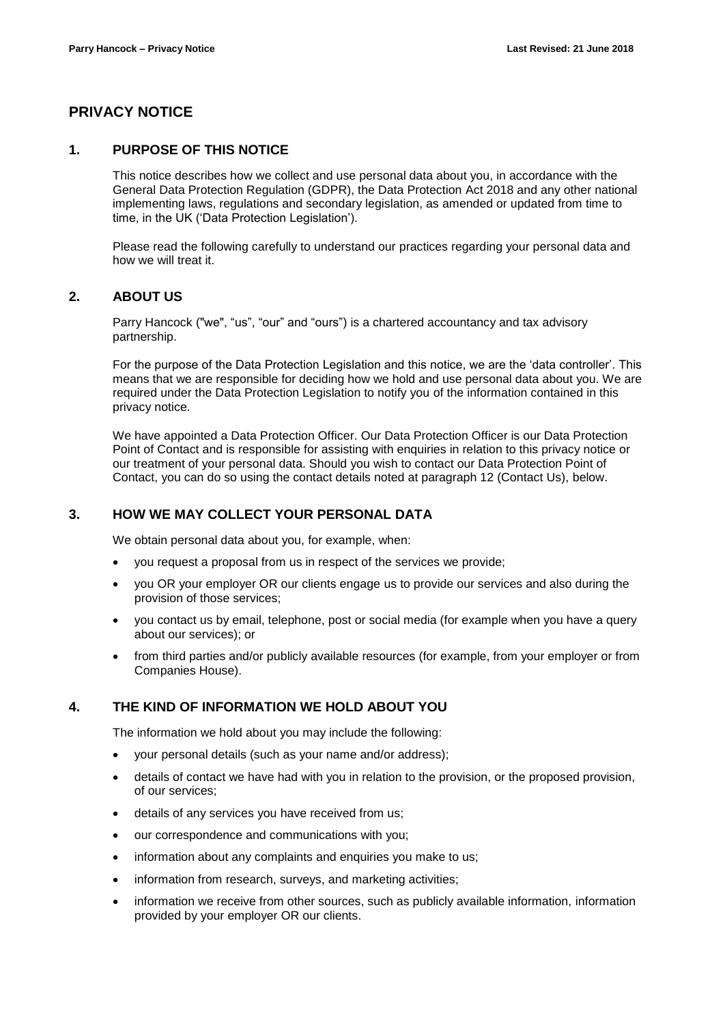# **PRIVACY NOTICE**

## **1. PURPOSE OF THIS NOTICE**

This notice describes how we collect and use personal data about you, in accordance with the General Data Protection Regulation (GDPR), the Data Protection Act 2018 and any other national implementing laws, regulations and secondary legislation, as amended or updated from time to time, in the UK ('Data Protection Legislation').

Please read the following carefully to understand our practices regarding your personal data and how we will treat it.

## **2. ABOUT US**

Parry Hancock ("we", "us", "our" and "ours") is a chartered accountancy and tax advisory partnership.

For the purpose of the Data Protection Legislation and this notice, we are the 'data controller'. This means that we are responsible for deciding how we hold and use personal data about you. We are required under the Data Protection Legislation to notify you of the information contained in this privacy notice.

We have appointed a Data Protection Officer. Our Data Protection Officer is our Data Protection Point of Contact and is responsible for assisting with enquiries in relation to this privacy notice or our treatment of your personal data. Should you wish to contact our Data Protection Point of Contact, you can do so using the contact details noted at paragraph 12 (Contact Us), below.

## **3. HOW WE MAY COLLECT YOUR PERSONAL DATA**

We obtain personal data about you, for example, when:

- you request a proposal from us in respect of the services we provide;
- you OR your employer OR our clients engage us to provide our services and also during the provision of those services;
- you contact us by email, telephone, post or social media (for example when you have a query about our services); or
- from third parties and/or publicly available resources (for example, from your employer or from Companies House).

### **4. THE KIND OF INFORMATION WE HOLD ABOUT YOU**

The information we hold about you may include the following:

- your personal details (such as your name and/or address);
- details of contact we have had with you in relation to the provision, or the proposed provision, of our services;
- details of any services you have received from us;
- our correspondence and communications with you;
- information about any complaints and enquiries you make to us;
- information from research, surveys, and marketing activities;
- information we receive from other sources, such as publicly available information, information provided by your employer OR our clients.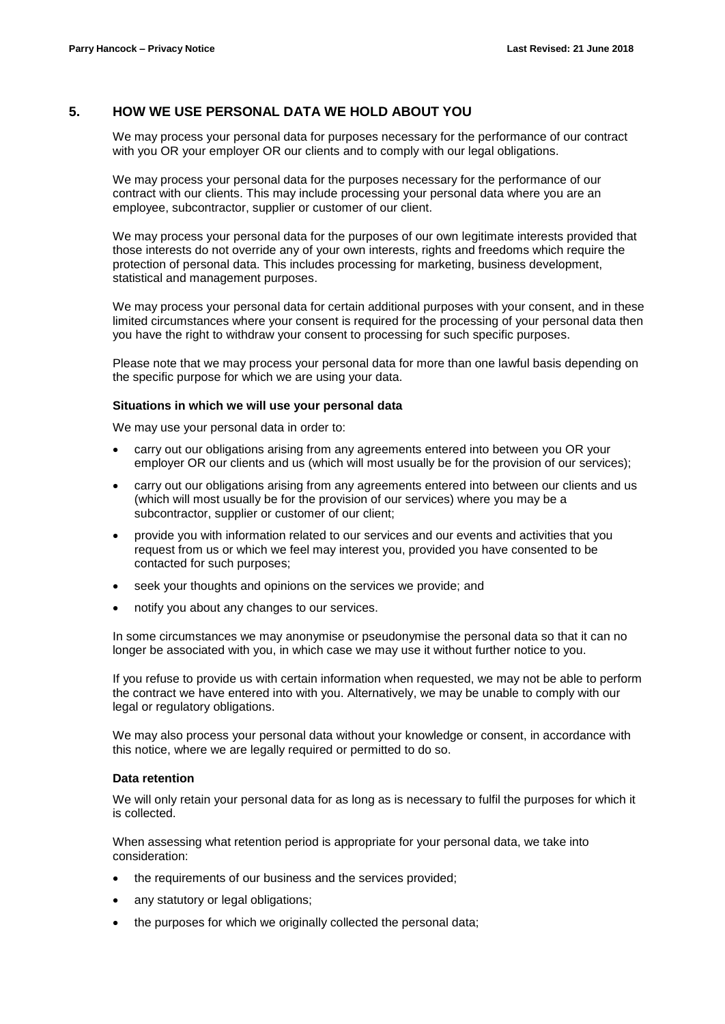# **5. HOW WE USE PERSONAL DATA WE HOLD ABOUT YOU**

We may process your personal data for purposes necessary for the performance of our contract with you OR your employer OR our clients and to comply with our legal obligations.

We may process your personal data for the purposes necessary for the performance of our contract with our clients. This may include processing your personal data where you are an employee, subcontractor, supplier or customer of our client.

We may process your personal data for the purposes of our own legitimate interests provided that those interests do not override any of your own interests, rights and freedoms which require the protection of personal data. This includes processing for marketing, business development, statistical and management purposes.

We may process your personal data for certain additional purposes with your consent, and in these limited circumstances where your consent is required for the processing of your personal data then you have the right to withdraw your consent to processing for such specific purposes.

Please note that we may process your personal data for more than one lawful basis depending on the specific purpose for which we are using your data.

#### **Situations in which we will use your personal data**

We may use your personal data in order to:

- carry out our obligations arising from any agreements entered into between you OR your employer OR our clients and us (which will most usually be for the provision of our services);
- carry out our obligations arising from any agreements entered into between our clients and us (which will most usually be for the provision of our services) where you may be a subcontractor, supplier or customer of our client;
- provide you with information related to our services and our events and activities that you request from us or which we feel may interest you, provided you have consented to be contacted for such purposes;
- seek your thoughts and opinions on the services we provide; and
- notify you about any changes to our services.

In some circumstances we may anonymise or pseudonymise the personal data so that it can no longer be associated with you, in which case we may use it without further notice to you.

If you refuse to provide us with certain information when requested, we may not be able to perform the contract we have entered into with you. Alternatively, we may be unable to comply with our legal or regulatory obligations.

We may also process your personal data without your knowledge or consent, in accordance with this notice, where we are legally required or permitted to do so.

#### **Data retention**

We will only retain your personal data for as long as is necessary to fulfil the purposes for which it is collected.

When assessing what retention period is appropriate for your personal data, we take into consideration:

- the requirements of our business and the services provided;
- any statutory or legal obligations;
- the purposes for which we originally collected the personal data;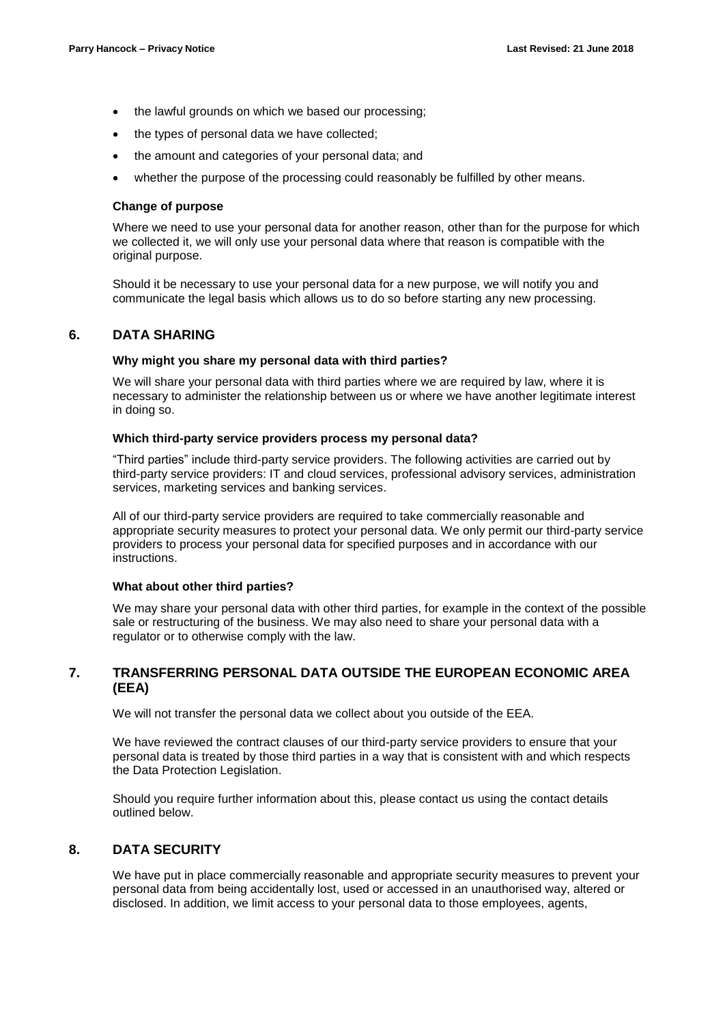- the lawful grounds on which we based our processing;
- the types of personal data we have collected;
- the amount and categories of your personal data; and
- whether the purpose of the processing could reasonably be fulfilled by other means.

#### **Change of purpose**

Where we need to use your personal data for another reason, other than for the purpose for which we collected it, we will only use your personal data where that reason is compatible with the original purpose.

Should it be necessary to use your personal data for a new purpose, we will notify you and communicate the legal basis which allows us to do so before starting any new processing.

## **6. DATA SHARING**

### **Why might you share my personal data with third parties?**

We will share your personal data with third parties where we are required by law, where it is necessary to administer the relationship between us or where we have another legitimate interest in doing so.

#### **Which third-party service providers process my personal data?**

"Third parties" include third-party service providers. The following activities are carried out by third-party service providers: IT and cloud services, professional advisory services, administration services, marketing services and banking services.

All of our third-party service providers are required to take commercially reasonable and appropriate security measures to protect your personal data. We only permit our third-party service providers to process your personal data for specified purposes and in accordance with our instructions.

#### **What about other third parties?**

We may share your personal data with other third parties, for example in the context of the possible sale or restructuring of the business. We may also need to share your personal data with a regulator or to otherwise comply with the law.

# **7. TRANSFERRING PERSONAL DATA OUTSIDE THE EUROPEAN ECONOMIC AREA (EEA)**

We will not transfer the personal data we collect about you outside of the EEA.

We have reviewed the contract clauses of our third-party service providers to ensure that your personal data is treated by those third parties in a way that is consistent with and which respects the Data Protection Legislation.

Should you require further information about this, please contact us using the contact details outlined below.

# **8. DATA SECURITY**

We have put in place commercially reasonable and appropriate security measures to prevent your personal data from being accidentally lost, used or accessed in an unauthorised way, altered or disclosed. In addition, we limit access to your personal data to those employees, agents,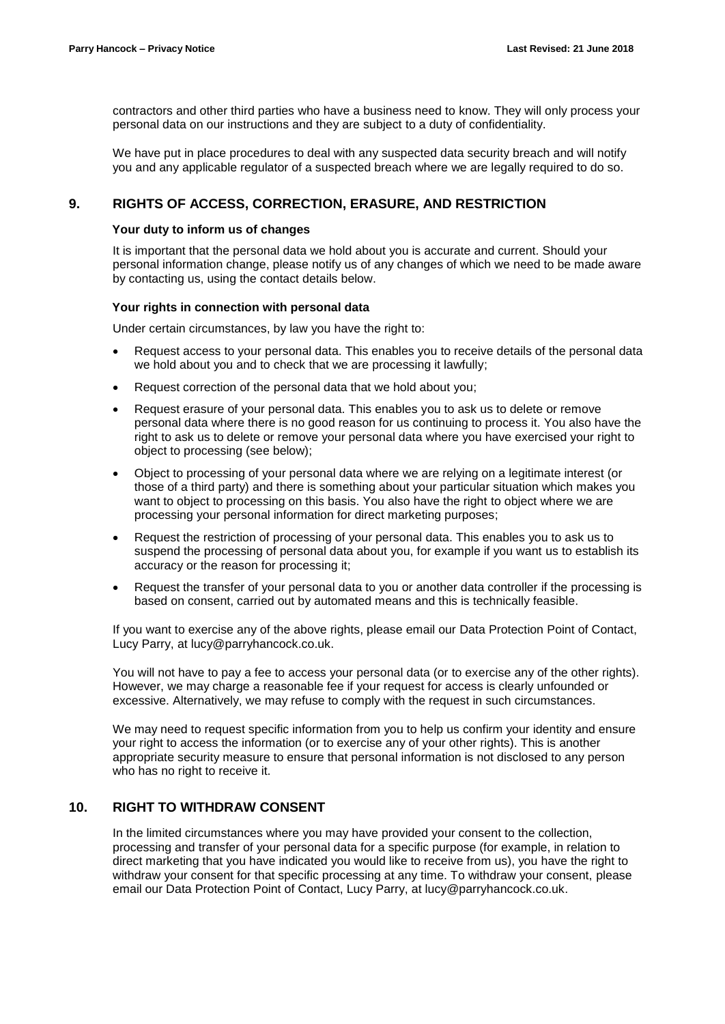contractors and other third parties who have a business need to know. They will only process your personal data on our instructions and they are subject to a duty of confidentiality.

We have put in place procedures to deal with any suspected data security breach and will notify you and any applicable regulator of a suspected breach where we are legally required to do so.

## **9. RIGHTS OF ACCESS, CORRECTION, ERASURE, AND RESTRICTION**

#### **Your duty to inform us of changes**

It is important that the personal data we hold about you is accurate and current. Should your personal information change, please notify us of any changes of which we need to be made aware by contacting us, using the contact details below.

#### **Your rights in connection with personal data**

Under certain circumstances, by law you have the right to:

- Request access to your personal data. This enables you to receive details of the personal data we hold about you and to check that we are processing it lawfully;
- Request correction of the personal data that we hold about you;
- Request erasure of your personal data. This enables you to ask us to delete or remove personal data where there is no good reason for us continuing to process it. You also have the right to ask us to delete or remove your personal data where you have exercised your right to object to processing (see below);
- Object to processing of your personal data where we are relying on a legitimate interest (or those of a third party) and there is something about your particular situation which makes you want to object to processing on this basis. You also have the right to object where we are processing your personal information for direct marketing purposes;
- Request the restriction of processing of your personal data. This enables you to ask us to suspend the processing of personal data about you, for example if you want us to establish its accuracy or the reason for processing it;
- Request the transfer of your personal data to you or another data controller if the processing is based on consent, carried out by automated means and this is technically feasible.

If you want to exercise any of the above rights, please email our Data Protection Point of Contact, Lucy Parry, at [lucy@parryhancock.co.uk.](mailto:lucy@parryhancock.co.uk)

You will not have to pay a fee to access your personal data (or to exercise any of the other rights). However, we may charge a reasonable fee if your request for access is clearly unfounded or excessive. Alternatively, we may refuse to comply with the request in such circumstances.

We may need to request specific information from you to help us confirm your identity and ensure your right to access the information (or to exercise any of your other rights). This is another appropriate security measure to ensure that personal information is not disclosed to any person who has no right to receive it.

## **10. RIGHT TO WITHDRAW CONSENT**

In the limited circumstances where you may have provided your consent to the collection, processing and transfer of your personal data for a specific purpose (for example, in relation to direct marketing that you have indicated you would like to receive from us), you have the right to withdraw your consent for that specific processing at any time. To withdraw your consent, please email our Data Protection Point of Contact, Lucy Parry, at [lucy@parryhancock.co.uk.](mailto:lucy@parryhancock.co.uk)